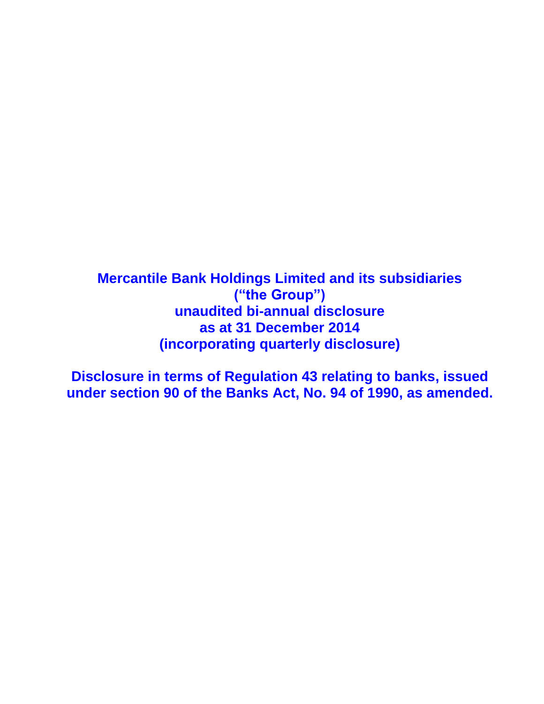**Mercantile Bank Holdings Limited and its subsidiaries ("the Group") unaudited bi-annual disclosure as at 31 December 2014 (incorporating quarterly disclosure)**

**Disclosure in terms of Regulation 43 relating to banks, issued under section 90 of the Banks Act, No. 94 of 1990, as amended.**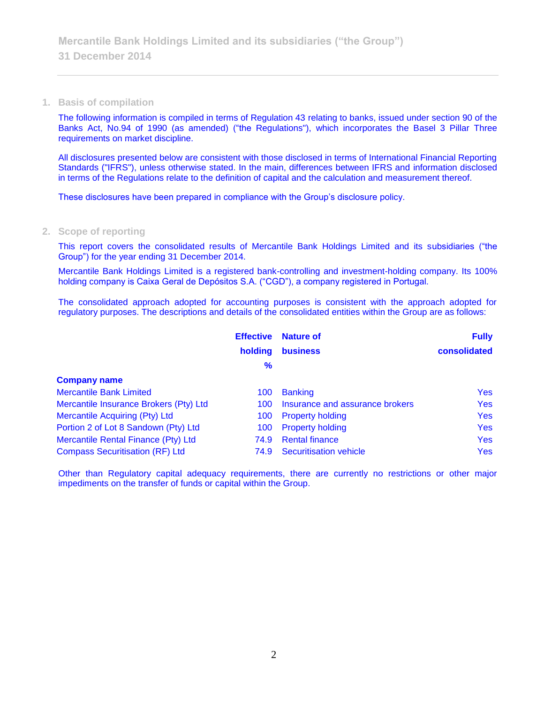#### **1. Basis of compilation**

The following information is compiled in terms of Regulation 43 relating to banks, issued under section 90 of the Banks Act, No.94 of 1990 (as amended) ("the Regulations"), which incorporates the Basel 3 Pillar Three requirements on market discipline.

All disclosures presented below are consistent with those disclosed in terms of International Financial Reporting Standards ("IFRS"), unless otherwise stated. In the main, differences between IFRS and information disclosed in terms of the Regulations relate to the definition of capital and the calculation and measurement thereof.

These disclosures have been prepared in compliance with the Group's disclosure policy.

#### **2. Scope of reporting**

This report covers the consolidated results of Mercantile Bank Holdings Limited and its subsidiaries ("the Group") for the year ending 31 December 2014.

Mercantile Bank Holdings Limited is a registered bank-controlling and investment-holding company. Its 100% holding company is Caixa Geral de Depósitos S.A. ("CGD"), a company registered in Portugal.

The consolidated approach adopted for accounting purposes is consistent with the approach adopted for regulatory purposes. The descriptions and details of the consolidated entities within the Group are as follows:

|                                        | <b>Effective</b> | <b>Nature of</b>                | <b>Fully</b> |
|----------------------------------------|------------------|---------------------------------|--------------|
|                                        | holding          | <b>business</b>                 | consolidated |
|                                        | %                |                                 |              |
| <b>Company name</b>                    |                  |                                 |              |
| <b>Mercantile Bank Limited</b>         | 100              | <b>Banking</b>                  | <b>Yes</b>   |
| Mercantile Insurance Brokers (Pty) Ltd | 100              | Insurance and assurance brokers | <b>Yes</b>   |
| Mercantile Acquiring (Pty) Ltd         | 100              | <b>Property holding</b>         | <b>Yes</b>   |
| Portion 2 of Lot 8 Sandown (Pty) Ltd   | 100              | <b>Property holding</b>         | <b>Yes</b>   |
| Mercantile Rental Finance (Pty) Ltd    | 74.9             | <b>Rental finance</b>           | <b>Yes</b>   |
| <b>Compass Securitisation (RF) Ltd</b> | 74.9             | Securitisation vehicle          | <b>Yes</b>   |

Other than Regulatory capital adequacy requirements, there are currently no restrictions or other major impediments on the transfer of funds or capital within the Group.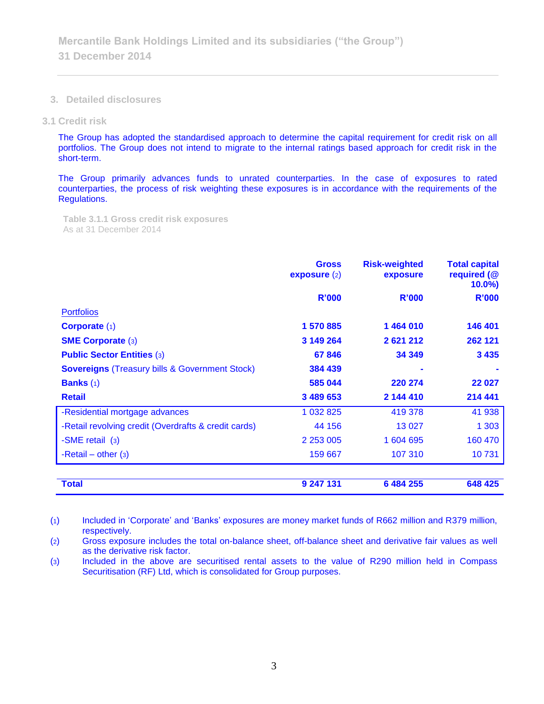**3. Detailed disclosures**

**3.1 Credit risk**

The Group has adopted the standardised approach to determine the capital requirement for credit risk on all portfolios. The Group does not intend to migrate to the internal ratings based approach for credit risk in the short-term.

The Group primarily advances funds to unrated counterparties. In the case of exposures to rated counterparties, the process of risk weighting these exposures is in accordance with the requirements of the Regulations.

**Table 3.1.1 Gross credit risk exposures**  As at 31 December 2014

|                                                           | <b>Gross</b><br>expasure(2) | <b>Risk-weighted</b><br>exposure | <b>Total capital</b><br>required (@<br>$10.0\%$ |
|-----------------------------------------------------------|-----------------------------|----------------------------------|-------------------------------------------------|
|                                                           | <b>R'000</b>                | R'000                            | R'000                                           |
| <b>Portfolios</b>                                         |                             |                                  |                                                 |
| Corporate $(1)$                                           | 1 570 885                   | 1464010                          | 146 401                                         |
| <b>SME Corporate (3)</b>                                  | 3 149 264                   | 2621212                          | 262 121                                         |
| <b>Public Sector Entities (3)</b>                         | 67846                       | 34 349                           | 3 4 3 5                                         |
| <b>Sovereigns (Treasury bills &amp; Government Stock)</b> | 384 439                     |                                  |                                                 |
| <b>Banks</b> $(1)$                                        | 585 044                     | 220 274                          | 22 0 27                                         |
| <b>Retail</b>                                             | 3 489 653                   | 2 144 410                        | 214 441                                         |
| -Residential mortgage advances                            | 1 0 3 2 8 2 5               | 419 378                          | 41 938                                          |
| -Retail revolving credit (Overdrafts & credit cards)      | 44 156                      | 13 0 27                          | 1 3 0 3                                         |
| -SME retail (3)                                           | 2 2 5 3 0 0 5               | 1 604 695                        | 160 470                                         |
| -Retail – other $(3)$                                     | 159 667                     | 107 310                          | 10731                                           |
| <b>Total</b>                                              | 9 247 131                   | 6 484 255                        | 648 425                                         |

(1) Included in 'Corporate' and 'Banks' exposures are money market funds of R662 million and R379 million, respectively.

(2) Gross exposure includes the total on-balance sheet, off-balance sheet and derivative fair values as well as the derivative risk factor.

(3) Included in the above are securitised rental assets to the value of R290 million held in Compass Securitisation (RF) Ltd, which is consolidated for Group purposes.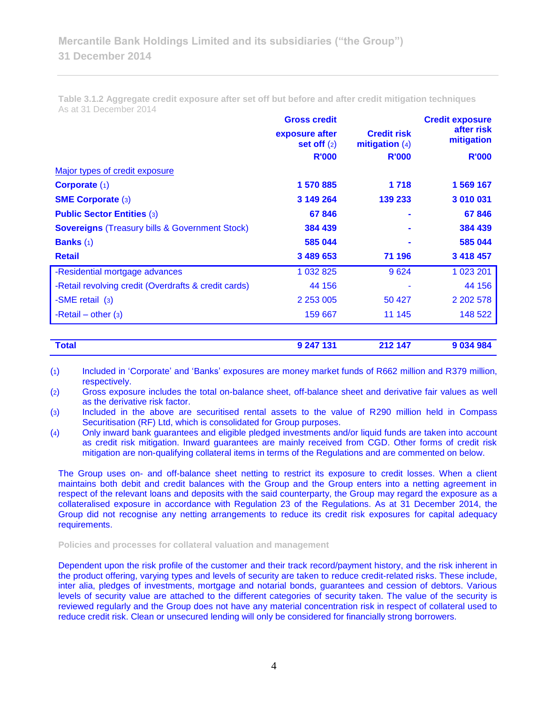|                                 |                                        | <b>Credit exposure</b>   |  |
|---------------------------------|----------------------------------------|--------------------------|--|
| exposure after<br>set off $(2)$ | <b>Credit risk</b><br>mitigation $(4)$ | after risk<br>mitigation |  |
| <b>R'000</b>                    | <b>R'000</b>                           | <b>R'000</b>             |  |
|                                 |                                        |                          |  |
| 1 570 885                       | 1718                                   | 1 569 167                |  |
| 3 149 264                       | 139 233                                | 3 010 031                |  |
| 67846                           |                                        | 67846                    |  |
| 384 439                         |                                        | 384 439                  |  |
| 585 044                         |                                        | 585 044                  |  |
| 3 489 653                       | 71 196                                 | 3 418 457                |  |
| 1 032 825                       | 9624                                   | 1 023 201                |  |
| 44 156                          |                                        | 44 156                   |  |
| 2 2 5 3 0 0 5                   | 50 427                                 | 2 202 578                |  |
| 159 667                         | 11 1 45                                | 148 522                  |  |
|                                 |                                        |                          |  |

**Table 3.1.2 Aggregate credit exposure after set off but before and after credit mitigation techniques** As at 31 December 2014

| <b>Total</b> | 9 247 131 | 212 147 | 9 034 984 |
|--------------|-----------|---------|-----------|
|              |           |         |           |

(1) Included in 'Corporate' and 'Banks' exposures are money market funds of R662 million and R379 million, respectively.

(2) Gross exposure includes the total on-balance sheet, off-balance sheet and derivative fair values as well as the derivative risk factor.

(3) Included in the above are securitised rental assets to the value of R290 million held in Compass Securitisation (RF) Ltd, which is consolidated for Group purposes.

(4) Only inward bank guarantees and eligible pledged investments and/or liquid funds are taken into account as credit risk mitigation. Inward guarantees are mainly received from CGD. Other forms of credit risk mitigation are non-qualifying collateral items in terms of the Regulations and are commented on below.

The Group uses on- and off-balance sheet netting to restrict its exposure to credit losses. When a client maintains both debit and credit balances with the Group and the Group enters into a netting agreement in respect of the relevant loans and deposits with the said counterparty, the Group may regard the exposure as a collateralised exposure in accordance with Regulation 23 of the Regulations. As at 31 December 2014, the Group did not recognise any netting arrangements to reduce its credit risk exposures for capital adequacy requirements.

**Policies and processes for collateral valuation and management**

Dependent upon the risk profile of the customer and their track record/payment history, and the risk inherent in the product offering, varying types and levels of security are taken to reduce credit-related risks. These include, inter alia, pledges of investments, mortgage and notarial bonds, guarantees and cession of debtors. Various levels of security value are attached to the different categories of security taken. The value of the security is reviewed regularly and the Group does not have any material concentration risk in respect of collateral used to reduce credit risk. Clean or unsecured lending will only be considered for financially strong borrowers.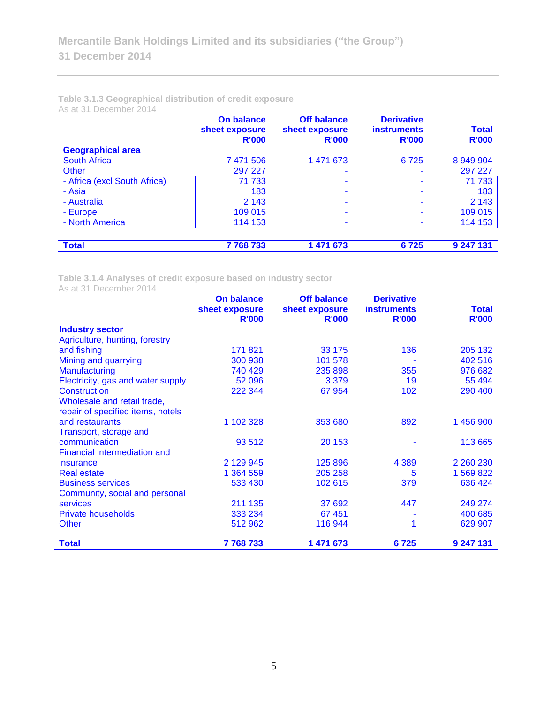## **Table 3.1.3 Geographical distribution of credit exposure** As at 31 December 2014

|                              | <b>On balance</b><br>sheet exposure<br><b>R'000</b> | <b>Off balance</b><br>sheet exposure<br><b>R'000</b> | <b>Derivative</b><br><b>instruments</b><br><b>R'000</b> | <b>Total</b><br><b>R'000</b> |
|------------------------------|-----------------------------------------------------|------------------------------------------------------|---------------------------------------------------------|------------------------------|
| <b>Geographical area</b>     |                                                     |                                                      |                                                         |                              |
| <b>South Africa</b>          | 7 471 506                                           | 1 471 673                                            | 6725                                                    | 8 949 904                    |
| Other                        | 297 227                                             |                                                      |                                                         | 297 227                      |
| - Africa (excl South Africa) | 71 733                                              |                                                      |                                                         | 71 733                       |
| - Asia                       | 183                                                 |                                                      |                                                         | 183                          |
| - Australia                  | 2 1 4 3                                             |                                                      |                                                         | 2 1 4 3                      |
| - Europe                     | 109 015                                             |                                                      |                                                         | 109 015                      |
| - North America              | 114 153                                             |                                                      |                                                         | 114 153                      |
| <b>Total</b>                 | 7768733                                             | 1 471 673                                            | 6725                                                    | 9 247 131                    |

**Table 3.1.4 Analyses of credit exposure based on industry sector** As at 31 December 2014

|                                     | <b>On balance</b> | <b>Off balance</b> | <b>Derivative</b>  |               |
|-------------------------------------|-------------------|--------------------|--------------------|---------------|
|                                     | sheet exposure    | sheet exposure     | <b>instruments</b> | <b>Total</b>  |
|                                     | <b>R'000</b>      | <b>R'000</b>       | <b>R'000</b>       | <b>R'000</b>  |
| <b>Industry sector</b>              |                   |                    |                    |               |
| Agriculture, hunting, forestry      |                   |                    |                    |               |
| and fishing                         | 171 821           | 33 175             | 136                | 205 132       |
| Mining and quarrying                | 300 938           | 101 578            |                    | 402 516       |
| <b>Manufacturing</b>                | 740 429           | 235 898            | 355                | 976 682       |
| Electricity, gas and water supply   | 52 096            | 3 3 7 9            | 19                 | 55 494        |
| Construction                        | 222 344           | 67 954             | 102                | 290 400       |
| Wholesale and retail trade,         |                   |                    |                    |               |
| repair of specified items, hotels   |                   |                    |                    |               |
| and restaurants                     | 1 102 328         | 353 680            | 892                | 1456900       |
| Transport, storage and              |                   |                    |                    |               |
| communication                       | 93 512            | 20 153             |                    | 113 665       |
| <b>Financial intermediation and</b> |                   |                    |                    |               |
| insurance                           | 2 129 945         | 125 896            | 4 3 8 9            | 2 2 6 2 2 3 0 |
| <b>Real estate</b>                  | 1 364 559         | 205 258            | 5                  | 1 569 822     |
| <b>Business services</b>            | 533 430           | 102 615            | 379                | 636 424       |
| Community, social and personal      |                   |                    |                    |               |
| services                            | 211 135           | 37 692             | 447                | 249 274       |
| <b>Private households</b>           | 333 234           | 67451              |                    | 400 685       |
| <b>Other</b>                        | 512 962           | 116 944            | 1                  | 629 907       |
|                                     |                   |                    |                    |               |
| Total                               | 7768733           | 1 471 673          | 6725               | 9 247 131     |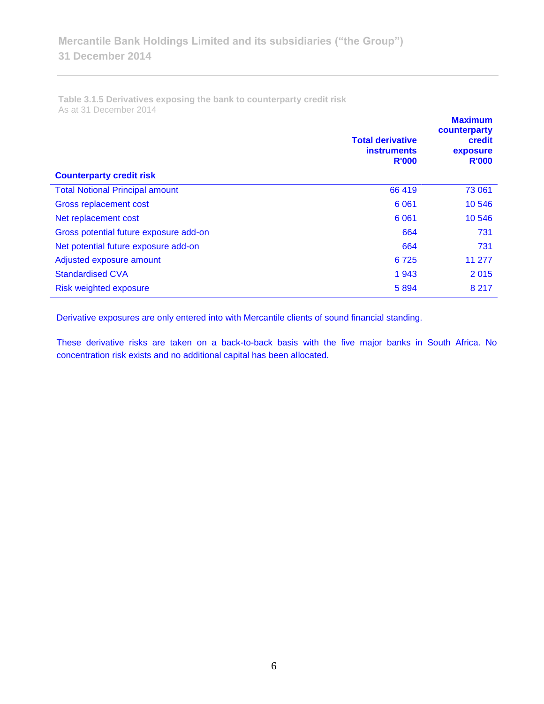**Table 3.1.5 Derivatives exposing the bank to counterparty credit risk**  As at 31 December 2014

| <b>Counterparty credit risk</b>        | <b>Total derivative</b><br><b>instruments</b><br><b>R'000</b> | <b>Maximum</b><br>counterparty<br>credit<br>exposure<br><b>R'000</b> |
|----------------------------------------|---------------------------------------------------------------|----------------------------------------------------------------------|
| <b>Total Notional Principal amount</b> | 66 419                                                        | 73 061                                                               |
| Gross replacement cost                 | 6 0 61                                                        | 10 546                                                               |
| Net replacement cost                   | 6 0 61                                                        | 10 546                                                               |
| Gross potential future exposure add-on | 664                                                           | 731                                                                  |
| Net potential future exposure add-on   | 664                                                           | 731                                                                  |
| Adjusted exposure amount               | 6725                                                          | 11 277                                                               |
| <b>Standardised CVA</b>                | 1943                                                          | 2015                                                                 |
| Risk weighted exposure                 | 5894                                                          | 8 2 1 7                                                              |

Derivative exposures are only entered into with Mercantile clients of sound financial standing.

These derivative risks are taken on a back-to-back basis with the five major banks in South Africa. No concentration risk exists and no additional capital has been allocated.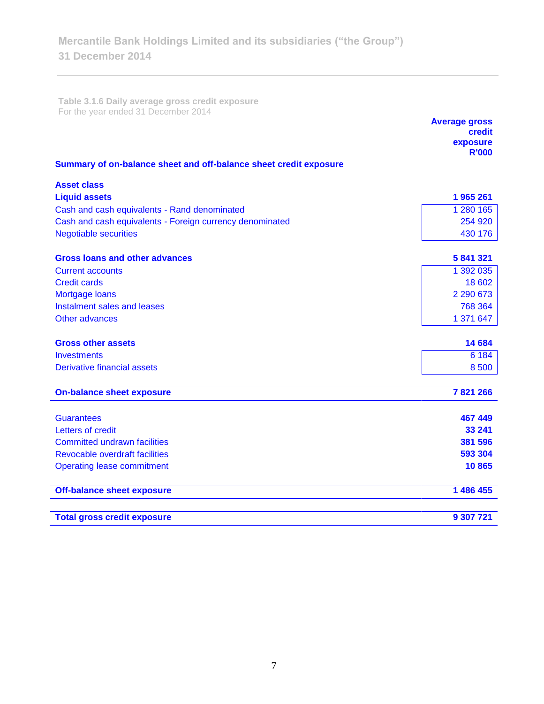**Table 3.1.6 Daily average gross credit exposure**  For the year ended 31 December 2014

|                                                                   | <b>Average gross</b><br>credit<br>exposure |
|-------------------------------------------------------------------|--------------------------------------------|
|                                                                   | <b>R'000</b>                               |
| Summary of on-balance sheet and off-balance sheet credit exposure |                                            |
| <b>Asset class</b>                                                |                                            |
| <b>Liquid assets</b>                                              | 1965261                                    |
| Cash and cash equivalents - Rand denominated                      | 1 280 165                                  |
| Cash and cash equivalents - Foreign currency denominated          | 254 920                                    |
| <b>Negotiable securities</b>                                      | 430 176                                    |
| <b>Gross loans and other advances</b>                             | 5 841 321                                  |
| <b>Current accounts</b>                                           | 1 392 035                                  |
| <b>Credit cards</b>                                               | 18 602                                     |
| Mortgage loans                                                    | 2 290 673                                  |
| Instalment sales and leases                                       | 768 364                                    |
| Other advances                                                    | 1 371 647                                  |
| <b>Gross other assets</b>                                         | 14 684                                     |
| <b>Investments</b>                                                | 6 1 8 4                                    |
| <b>Derivative financial assets</b>                                | 8 500                                      |
| <b>On-balance sheet exposure</b>                                  | 7821266                                    |
|                                                                   |                                            |
| <b>Guarantees</b>                                                 | 467 449                                    |
| Letters of credit                                                 | 33 241                                     |
| <b>Committed undrawn facilities</b>                               | 381 596                                    |
| Revocable overdraft facilities                                    | 593 304                                    |
| <b>Operating lease commitment</b>                                 | 10865                                      |
| <b>Off-balance sheet exposure</b>                                 | 1 486 455                                  |
| <b>Total gross credit exposure</b>                                | 9 307 721                                  |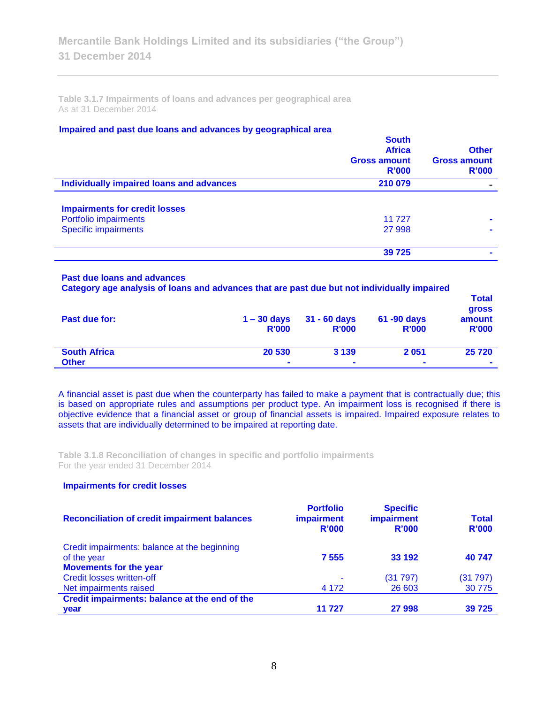**Table 3.1.7 Impairments of loans and advances per geographical area**  As at 31 December 2014

## **Impaired and past due loans and advances by geographical area**

|                                          | <b>South</b><br><b>Africa</b><br><b>Gross amount</b><br>R'000 | <b>Other</b><br><b>Gross amount</b><br>R'000 |
|------------------------------------------|---------------------------------------------------------------|----------------------------------------------|
| Individually impaired loans and advances | 210 079                                                       |                                              |
| <b>Impairments for credit losses</b>     |                                                               |                                              |
| Portfolio impairments                    | 11 727                                                        |                                              |
| <b>Specific impairments</b>              | 27 998                                                        |                                              |
|                                          | 39 7 25                                                       |                                              |
|                                          |                                                               |                                              |

#### **Past due loans and advances**

**Category age analysis of loans and advances that are past due but not individually impaired** 

| Past due for:       | $1 - 30$ days<br><b>R'000</b> | $31 - 60$ days<br><b>R'000</b> | 61 -90 days<br><b>R'000</b> | I otal<br>gross<br>amount<br><b>R'000</b> |
|---------------------|-------------------------------|--------------------------------|-----------------------------|-------------------------------------------|
| <b>South Africa</b> | 20 530                        | 3 1 3 9                        | 2051                        | 25 7 20                                   |
| <b>Other</b>        | $\blacksquare$                | $\overline{\phantom{a}}$       | $\blacksquare$              | $\blacksquare$                            |

**Total** 

A financial asset is past due when the counterparty has failed to make a payment that is contractually due; this is based on appropriate rules and assumptions per product type. An impairment loss is recognised if there is objective evidence that a financial asset or group of financial assets is impaired. Impaired exposure relates to assets that are individually determined to be impaired at reporting date.

**Table 3.1.8 Reconciliation of changes in specific and portfolio impairments**  For the year ended 31 December 2014

## **Impairments for credit losses**

| <b>Reconciliation of credit impairment balances</b> | <b>Portfolio</b><br><b>impairment</b><br>R'000 | <b>Specific</b><br>impairment<br>R'000 | <b>Total</b><br><b>R'000</b> |
|-----------------------------------------------------|------------------------------------------------|----------------------------------------|------------------------------|
| Credit impairments: balance at the beginning        |                                                |                                        |                              |
| of the year                                         | 7 5 5 5                                        | 33 192                                 | 40747                        |
| <b>Movements for the year</b>                       |                                                |                                        |                              |
| <b>Credit losses written-off</b>                    | $\blacksquare$                                 | (31 797)                               | (31797)                      |
| Net impairments raised                              | 4 1 7 2                                        | 26 603                                 | 30 7 7 5                     |
| Credit impairments: balance at the end of the       |                                                |                                        |                              |
| year                                                | 11 727                                         | 27 998                                 | 39 7 25                      |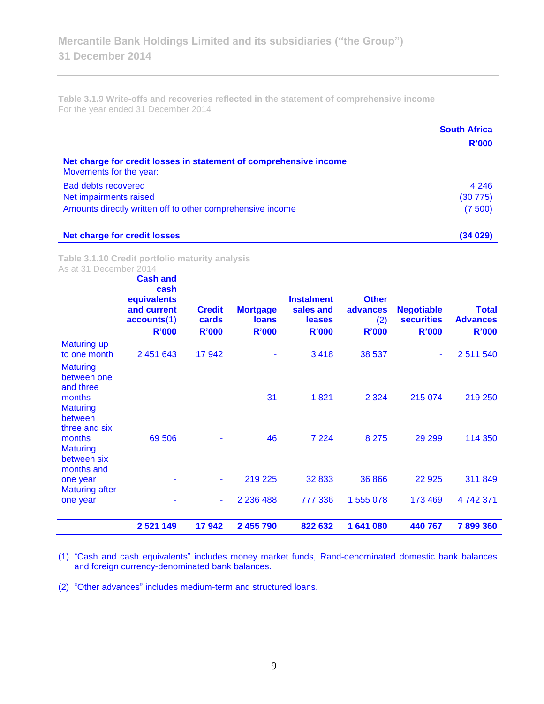**Table 3.1.9 Write-offs and recoveries reflected in the statement of comprehensive income** For the year ended 31 December 2014

|                                                                                              | <b>South Africa</b><br>R'000 |
|----------------------------------------------------------------------------------------------|------------------------------|
| Net charge for credit losses in statement of comprehensive income<br>Movements for the year: |                              |
| <b>Bad debts recovered</b>                                                                   | 4 2 4 6                      |
| Net impairments raised                                                                       | (30775)                      |
| Amounts directly written off to other comprehensive income                                   | (7500)                       |
| <b>Net charge for credit losses</b>                                                          | (34 029)                     |

**Table 3.1.10 Credit portfolio maturity analysis** As at 31 December 2014

|                                                             | <b>Cash and</b><br>cash<br>equivalents<br>and current<br>accounts(1)<br><b>R'000</b> | <b>Credit</b><br>cards<br><b>R'000</b> | <b>Mortgage</b><br><b>loans</b><br><b>R'000</b> | <b>Instalment</b><br>sales and<br><b>leases</b><br><b>R'000</b> | <b>Other</b><br>advances<br>(2)<br><b>R'000</b> | <b>Negotiable</b><br><b>securities</b><br><b>R'000</b> | <b>Total</b><br><b>Advances</b><br><b>R'000</b> |
|-------------------------------------------------------------|--------------------------------------------------------------------------------------|----------------------------------------|-------------------------------------------------|-----------------------------------------------------------------|-------------------------------------------------|--------------------------------------------------------|-------------------------------------------------|
| <b>Maturing up</b>                                          |                                                                                      |                                        |                                                 |                                                                 |                                                 |                                                        |                                                 |
| to one month<br><b>Maturing</b><br>between one<br>and three | 2 451 643                                                                            | 17942                                  |                                                 | 3418                                                            | 38 537                                          | $\sim$                                                 | 2 511 540                                       |
| months<br><b>Maturing</b><br>between<br>three and six       |                                                                                      |                                        | 31                                              | 1821                                                            | 2 3 2 4                                         | 215 074                                                | 219 250                                         |
| months<br><b>Maturing</b><br>between six<br>months and      | 69 50 6                                                                              |                                        | 46                                              | 7 2 2 4                                                         | 8 2 7 5                                         | 29 29 9                                                | 114 350                                         |
| one year<br><b>Maturing after</b>                           |                                                                                      |                                        | 219 225                                         | 32 833                                                          | 36 866                                          | 22 9 25                                                | 311 849                                         |
| one year                                                    |                                                                                      | ٠                                      | 2 2 3 6 4 8 8                                   | 777 336                                                         | 1 555 078                                       | 173 469                                                | 4742371                                         |
|                                                             | 2 5 21 14 9                                                                          | 17942                                  | 2 455 790                                       | 822 632                                                         | 1641080                                         | 440 767                                                | 7899360                                         |

(1) "Cash and cash equivalents" includes money market funds, Rand-denominated domestic bank balances and foreign currency-denominated bank balances.

(2) "Other advances" includes medium-term and structured loans.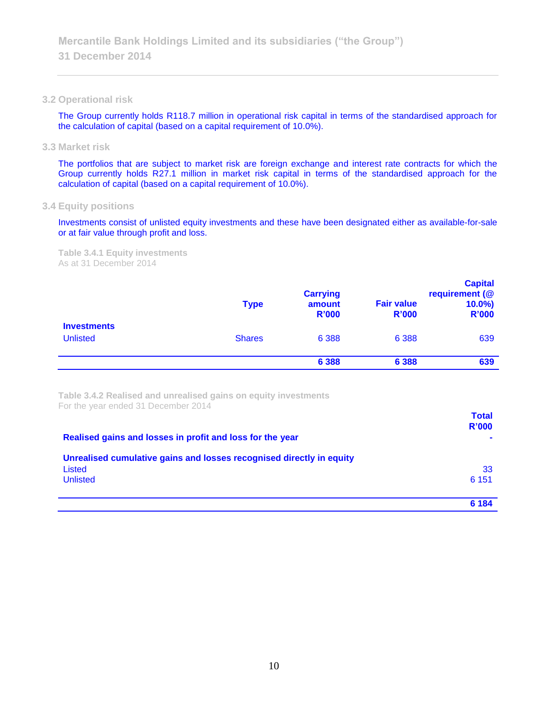#### **3.2 Operational risk**

The Group currently holds R118.7 million in operational risk capital in terms of the standardised approach for the calculation of capital (based on a capital requirement of 10.0%).

**3.3 Market risk**

The portfolios that are subject to market risk are foreign exchange and interest rate contracts for which the Group currently holds R27.1 million in market risk capital in terms of the standardised approach for the calculation of capital (based on a capital requirement of 10.0%).

**3.4 Equity positions**

Investments consist of unlisted equity investments and these have been designated either as available-for-sale or at fair value through profit and loss.

**Table 3.4.1 Equity investments** As at 31 December 2014

|                                       | <b>Type</b>   | <b>Carrying</b><br>amount<br><b>R'000</b> | <b>Fair value</b><br><b>R'000</b> | <b>Capital</b><br>requirement (@<br>$10.0\%$<br><b>R'000</b> |
|---------------------------------------|---------------|-------------------------------------------|-----------------------------------|--------------------------------------------------------------|
| <b>Investments</b><br><b>Unlisted</b> | <b>Shares</b> | 6 3 8 8                                   | 6 3 8 8                           | 639                                                          |
|                                       |               | 6 3 8 8                                   | 6 3 8 8                           | 639                                                          |

**Table 3.4.2 Realised and unrealised gains on equity investments** For the year ended 31 December 2014

| Realised gains and losses in profit and loss for the year                                         | <b>Total</b><br><b>R'000</b> |
|---------------------------------------------------------------------------------------------------|------------------------------|
| Unrealised cumulative gains and losses recognised directly in equity<br>Listed<br><b>Unlisted</b> | 33<br>6 1 5 1                |
|                                                                                                   | 6 184                        |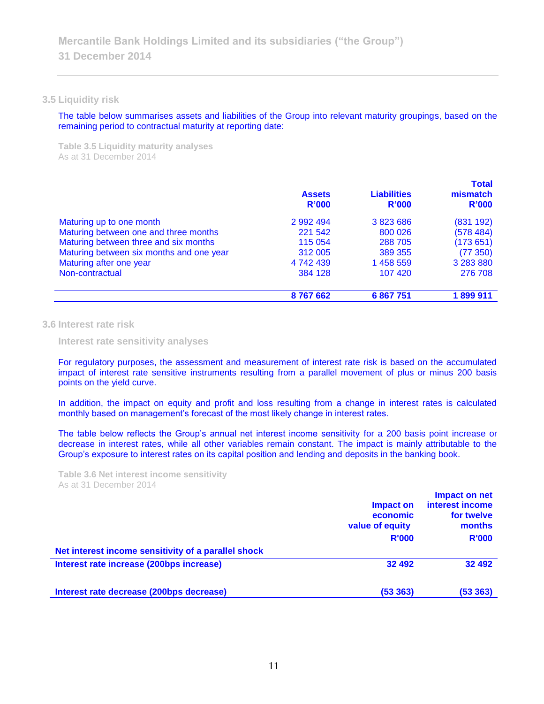#### **3.5 Liquidity risk**

The table below summarises assets and liabilities of the Group into relevant maturity groupings, based on the remaining period to contractual maturity at reporting date:

**Table 3.5 Liquidity maturity analyses** As at 31 December 2014

|                                          | <b>Assets</b><br>R'000 | <b>Liabilities</b><br>R'000 | <b>Total</b><br>mismatch<br>R'000 |
|------------------------------------------|------------------------|-----------------------------|-----------------------------------|
| Maturing up to one month                 | 2 992 494              | 3 823 686                   | (831 192)                         |
| Maturing between one and three months    | 221 542                | 800 026                     | (578484)                          |
| Maturing between three and six months    | 115 054                | 288 705                     | (173651)                          |
| Maturing between six months and one year | 312 005                | 389 355                     | (77350)                           |
| Maturing after one year                  | 4 742 439              | 1 458 559                   | 3 283 880                         |
| Non-contractual                          | 384 128                | 107 420                     | 276 708                           |
|                                          | 8767662                | 6 867 751                   | 1899911                           |

## **3.6 Interest rate risk**

**Interest rate sensitivity analyses**

For regulatory purposes, the assessment and measurement of interest rate risk is based on the accumulated impact of interest rate sensitive instruments resulting from a parallel movement of plus or minus 200 basis points on the yield curve.

In addition, the impact on equity and profit and loss resulting from a change in interest rates is calculated monthly based on management's forecast of the most likely change in interest rates.

The table below reflects the Group's annual net interest income sensitivity for a 200 basis point increase or decrease in interest rates, while all other variables remain constant. The impact is mainly attributable to the Group's exposure to interest rates on its capital position and lending and deposits in the banking book.

**Table 3.6 Net interest income sensitivity** As at 31 December 2014

|                                                     | Impact on<br>economic<br>value of equity<br><b>R'000</b> | Impact on net<br>interest income<br>for twelve<br>months<br><b>R'000</b> |
|-----------------------------------------------------|----------------------------------------------------------|--------------------------------------------------------------------------|
| Net interest income sensitivity of a parallel shock |                                                          |                                                                          |
| Interest rate increase (200bps increase)            | 32 492                                                   | 32 492                                                                   |
| Interest rate decrease (200bps decrease)            | (53363)                                                  | (53 363)                                                                 |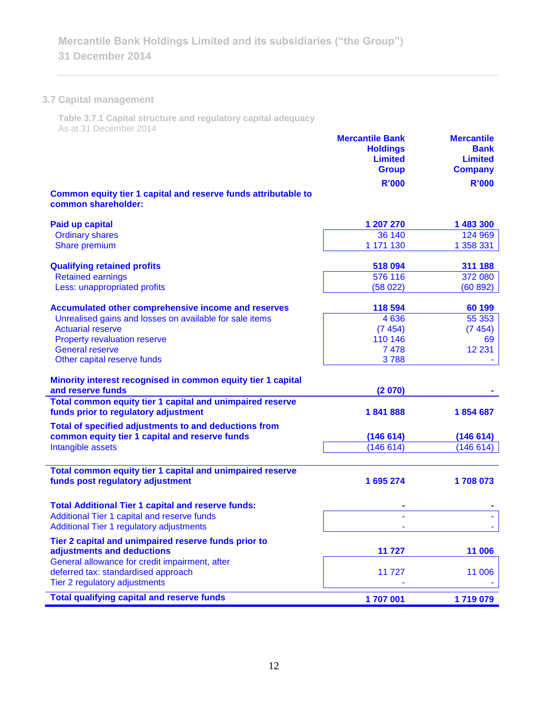# **3.7 Capital management**

**Table 3.7.1 Capital structure and regulatory capital adequacy** As at 31 December 2014

|                                                                                                         | <b>Mercantile Bank</b><br><b>Holdings</b><br><b>Limited</b><br><b>Group</b> | <b>Mercantile</b><br><b>Bank</b><br><b>Limited</b><br><b>Company</b> |
|---------------------------------------------------------------------------------------------------------|-----------------------------------------------------------------------------|----------------------------------------------------------------------|
|                                                                                                         | <b>R'000</b>                                                                | <b>R'000</b>                                                         |
| Common equity tier 1 capital and reserve funds attributable to<br>common shareholder:                   |                                                                             |                                                                      |
| <b>Paid up capital</b>                                                                                  | 1 207 270                                                                   | 1 483 300                                                            |
| <b>Ordinary shares</b>                                                                                  | 36 140                                                                      | 124 969                                                              |
| Share premium                                                                                           | 1 171 130                                                                   | 1 358 331                                                            |
| <b>Qualifying retained profits</b>                                                                      | 518 094                                                                     | 311 188                                                              |
| <b>Retained earnings</b>                                                                                | 576 116                                                                     | 372 080                                                              |
| Less: unappropriated profits                                                                            | (58022)                                                                     | (60 892)                                                             |
| Accumulated other comprehensive income and reserves                                                     | 118 594                                                                     | 60 199                                                               |
| Unrealised gains and losses on available for sale items                                                 | 4 6 3 6                                                                     | 55 353                                                               |
| <b>Actuarial reserve</b>                                                                                | (7454)                                                                      | (7454)                                                               |
| <b>Property revaluation reserve</b>                                                                     | 110 146                                                                     | 69                                                                   |
| <b>General reserve</b>                                                                                  | 7 4 7 8                                                                     | 12 2 31                                                              |
| Other capital reserve funds                                                                             | 3788                                                                        |                                                                      |
| Minority interest recognised in common equity tier 1 capital                                            |                                                                             |                                                                      |
| and reserve funds                                                                                       | (2070)                                                                      |                                                                      |
| Total common equity tier 1 capital and unimpaired reserve                                               |                                                                             |                                                                      |
| funds prior to regulatory adjustment                                                                    | 1841888                                                                     | 1854687                                                              |
| Total of specified adjustments to and deductions from<br>common equity tier 1 capital and reserve funds | (146614)                                                                    | (146614)                                                             |
| Intangible assets                                                                                       | (146614)                                                                    | (146614)                                                             |
|                                                                                                         |                                                                             |                                                                      |
| Total common equity tier 1 capital and unimpaired reserve                                               |                                                                             |                                                                      |
| funds post regulatory adjustment                                                                        | 1 695 274                                                                   | 1708073                                                              |
| <b>Total Additional Tier 1 capital and reserve funds:</b>                                               |                                                                             |                                                                      |
| Additional Tier 1 capital and reserve funds                                                             |                                                                             |                                                                      |
| Additional Tier 1 regulatory adjustments                                                                |                                                                             |                                                                      |
| Tier 2 capital and unimpaired reserve funds prior to                                                    |                                                                             |                                                                      |
| adjustments and deductions                                                                              | 11 727                                                                      | 11 006                                                               |
| General allowance for credit impairment, after                                                          |                                                                             |                                                                      |
| deferred tax: standardised approach                                                                     | 11 727                                                                      | 11 006                                                               |
| Tier 2 regulatory adjustments                                                                           |                                                                             |                                                                      |
| <b>Total qualifying capital and reserve funds</b>                                                       | 1707001                                                                     | 1719079                                                              |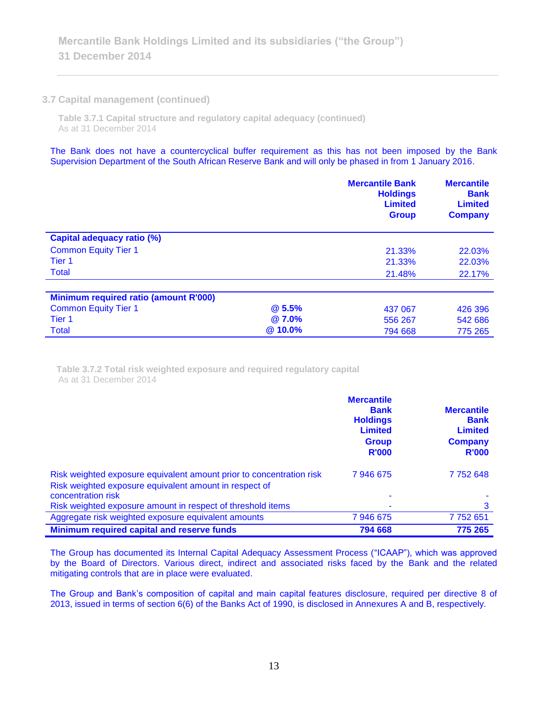## **3.7 Capital management (continued)**

**Table 3.7.1 Capital structure and regulatory capital adequacy (continued)** As at 31 December 2014

The Bank does not have a countercyclical buffer requirement as this has not been imposed by the Bank Supervision Department of the South African Reserve Bank and will only be phased in from 1 January 2016.

|                                       |              | <b>Mercantile Bank</b><br><b>Holdings</b><br><b>Limited</b><br><b>Group</b> | <b>Mercantile</b><br><b>Bank</b><br><b>Limited</b><br><b>Company</b> |
|---------------------------------------|--------------|-----------------------------------------------------------------------------|----------------------------------------------------------------------|
| <b>Capital adequacy ratio (%)</b>     |              |                                                                             |                                                                      |
| <b>Common Equity Tier 1</b>           |              | 21.33%                                                                      | 22.03%                                                               |
| Tier <sub>1</sub>                     |              | 21.33%                                                                      | 22.03%                                                               |
| <b>Total</b>                          |              | 21.48%                                                                      | 22.17%                                                               |
|                                       |              |                                                                             |                                                                      |
| Minimum required ratio (amount R'000) |              |                                                                             |                                                                      |
| <b>Common Equity Tier 1</b>           | <b>@5.5%</b> | 437 067                                                                     | 426 396                                                              |
| Tier 1                                | <b>@7.0%</b> | 556 267                                                                     | 542 686                                                              |
| <b>Total</b>                          | @ 10.0%      | 794 668                                                                     | 775 265                                                              |

**Table 3.7.2 Total risk weighted exposure and required regulatory capital** As at 31 December 2014

|                                                                                                                                | <b>Mercantile</b><br><b>Bank</b><br><b>Holdings</b><br><b>Limited</b><br><b>Group</b><br><b>R'000</b> | <b>Mercantile</b><br><b>Bank</b><br><b>Limited</b><br><b>Company</b><br><b>R'000</b> |
|--------------------------------------------------------------------------------------------------------------------------------|-------------------------------------------------------------------------------------------------------|--------------------------------------------------------------------------------------|
| Risk weighted exposure equivalent amount prior to concentration risk<br>Risk weighted exposure equivalent amount in respect of | 7946675                                                                                               | 7752648                                                                              |
| concentration risk                                                                                                             | ۰                                                                                                     |                                                                                      |
| Risk weighted exposure amount in respect of threshold items                                                                    |                                                                                                       | 3                                                                                    |
| Aggregate risk weighted exposure equivalent amounts                                                                            | 7946675                                                                                               | 7752651                                                                              |
| Minimum required capital and reserve funds                                                                                     | 794 668                                                                                               | 775 265                                                                              |

The Group has documented its Internal Capital Adequacy Assessment Process ("ICAAP"), which was approved by the Board of Directors. Various direct, indirect and associated risks faced by the Bank and the related mitigating controls that are in place were evaluated.

The Group and Bank's composition of capital and main capital features disclosure, required per directive 8 of 2013, issued in terms of section 6(6) of the Banks Act of 1990, is disclosed in Annexures A and B, respectively.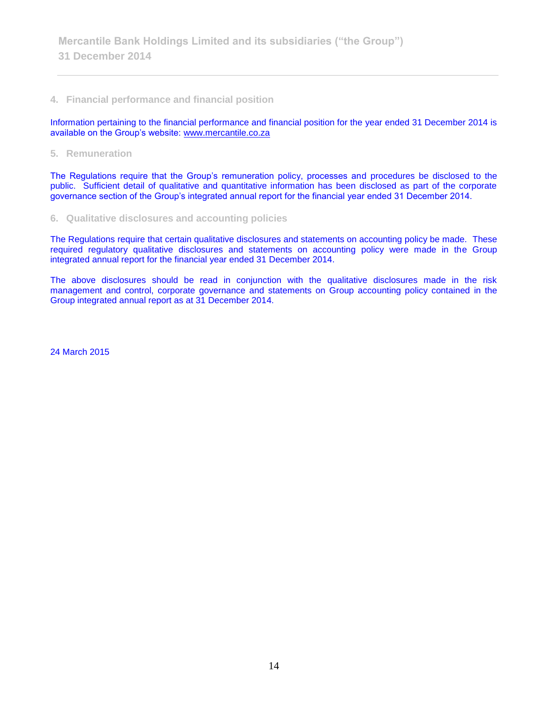# **4. Financial performance and financial position**

Information pertaining to the financial performance and financial position for the year ended 31 December 2014 is available on the Group's website: [www.mercantile.co.za](http://www.mercantile.co.za/)

**5. Remuneration**

The Regulations require that the Group's remuneration policy, processes and procedures be disclosed to the public. Sufficient detail of qualitative and quantitative information has been disclosed as part of the corporate governance section of the Group's integrated annual report for the financial year ended 31 December 2014.

## **6. Qualitative disclosures and accounting policies**

The Regulations require that certain qualitative disclosures and statements on accounting policy be made. These required regulatory qualitative disclosures and statements on accounting policy were made in the Group integrated annual report for the financial year ended 31 December 2014.

The above disclosures should be read in conjunction with the qualitative disclosures made in the risk management and control, corporate governance and statements on Group accounting policy contained in the Group integrated annual report as at 31 December 2014.

24 March 2015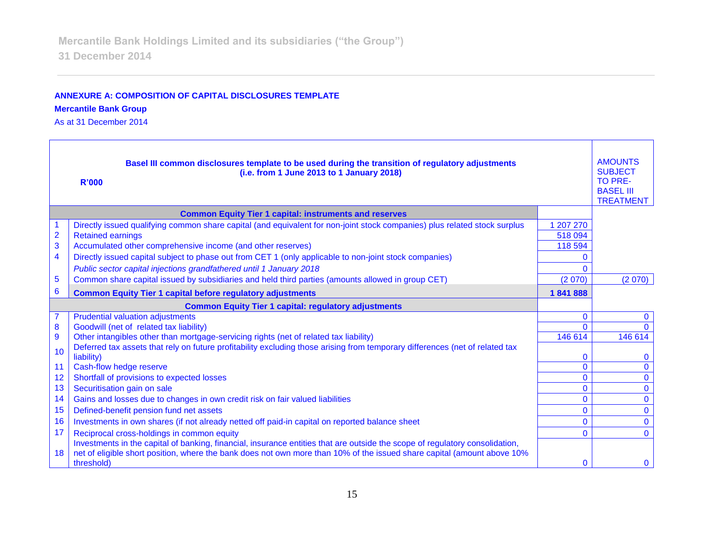# **ANNEXURE A: COMPOSITION OF CAPITAL DISCLOSURES TEMPLATE**

**Mercantile Bank Group** 

As at 31 December 2014

|                         | Basel III common disclosures template to be used during the transition of regulatory adjustments<br>(i.e. from 1 June 2013 to 1 January 2018)<br><b>R'000</b>              |                                | <b>AMOUNTS</b><br><b>SUBJECT</b><br><b>TO PRE-</b><br><b>BASEL III</b><br><b>TREATMENT</b> |
|-------------------------|----------------------------------------------------------------------------------------------------------------------------------------------------------------------------|--------------------------------|--------------------------------------------------------------------------------------------|
|                         | <b>Common Equity Tier 1 capital: instruments and reserves</b>                                                                                                              |                                |                                                                                            |
|                         | Directly issued qualifying common share capital (and equivalent for non-joint stock companies) plus related stock surplus                                                  | 1 207 270                      |                                                                                            |
| $\overline{2}$          | <b>Retained earnings</b>                                                                                                                                                   | 518 094                        |                                                                                            |
| 3                       | Accumulated other comprehensive income (and other reserves)                                                                                                                | 118 594                        |                                                                                            |
| $\overline{\mathbf{4}}$ | Directly issued capital subject to phase out from CET 1 (only applicable to non-joint stock companies)                                                                     | O                              |                                                                                            |
|                         | Public sector capital injections grandfathered until 1 January 2018                                                                                                        | 0                              |                                                                                            |
| $\overline{5}$          | Common share capital issued by subsidiaries and held third parties (amounts allowed in group CET)                                                                          | (2070)                         | (2070)                                                                                     |
| 6                       | <b>Common Equity Tier 1 capital before regulatory adjustments</b>                                                                                                          | 1841888                        |                                                                                            |
|                         | <b>Common Equity Tier 1 capital: regulatory adjustments</b>                                                                                                                |                                |                                                                                            |
| $\overline{7}$          | <b>Prudential valuation adjustments</b>                                                                                                                                    | $\mathbf 0$                    | 0                                                                                          |
| 8                       | Goodwill (net of related tax liability)                                                                                                                                    | $\Omega$                       |                                                                                            |
| $\overline{9}$          | Other intangibles other than mortgage-servicing rights (net of related tax liability)                                                                                      | 146 614                        | 146 614                                                                                    |
| 10                      | Deferred tax assets that rely on future profitability excluding those arising from temporary differences (net of related tax                                               |                                |                                                                                            |
|                         | liability)                                                                                                                                                                 | $\mathbf{0}$<br>$\overline{0}$ | $\Omega$                                                                                   |
| 11<br>12                | Cash-flow hedge reserve                                                                                                                                                    | $\mathbf{0}$                   | $\mathbf 0$<br>$\mathbf{0}$                                                                |
| 13                      | Shortfall of provisions to expected losses<br>Securitisation gain on sale                                                                                                  | $\mathbf{0}$                   | $\mathbf{0}$                                                                               |
| 14                      | Gains and losses due to changes in own credit risk on fair valued liabilities                                                                                              | $\overline{0}$                 | $\mathbf 0$                                                                                |
| 15                      | Defined-benefit pension fund net assets                                                                                                                                    | $\mathbf 0$                    | $\mathbf{0}$                                                                               |
| 16                      | Investments in own shares (if not already netted off paid-in capital on reported balance sheet                                                                             | $\mathbf{0}$                   | $\mathbf{0}$                                                                               |
| 17                      |                                                                                                                                                                            | $\Omega$                       |                                                                                            |
|                         | Reciprocal cross-holdings in common equity<br>Investments in the capital of banking, financial, insurance entities that are outside the scope of regulatory consolidation, |                                | $\mathbf{0}$                                                                               |
| 18                      | net of eligible short position, where the bank does not own more than 10% of the issued share capital (amount above 10%                                                    |                                |                                                                                            |
|                         | threshold)                                                                                                                                                                 | $\mathbf{0}$                   | $\mathbf{0}$                                                                               |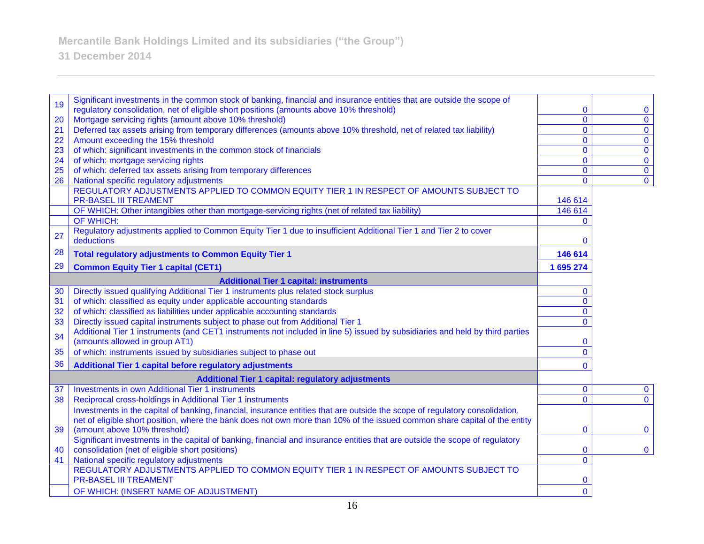**31 December 2014**

| 19       | Significant investments in the common stock of banking, financial and insurance entities that are outside the scope of                                                          |                     |                               |
|----------|---------------------------------------------------------------------------------------------------------------------------------------------------------------------------------|---------------------|-------------------------------|
|          | regulatory consolidation, net of eligible short positions (amounts above 10% threshold)                                                                                         | 0                   | $\mathbf 0$                   |
| 20       | Mortgage servicing rights (amount above 10% threshold)                                                                                                                          | $\overline{0}$      | $\mathbf 0$                   |
| 21       | Deferred tax assets arising from temporary differences (amounts above 10% threshold, net of related tax liability)                                                              | $\overline{0}$      | $\mathbf{0}$                  |
| 22       | Amount exceeding the 15% threshold                                                                                                                                              | $\mathbf 0$         | $\mathbf 0$                   |
| 23<br>24 | of which: significant investments in the common stock of financials<br>of which: mortgage servicing rights                                                                      | $\overline{0}$<br>0 | $\mathbf 0$<br>$\overline{0}$ |
| 25       | of which: deferred tax assets arising from temporary differences                                                                                                                | 0                   | $\mathbf 0$                   |
| 26       | National specific regulatory adjustments                                                                                                                                        | $\mathbf 0$         | $\overline{0}$                |
|          | REGULATORY ADJUSTMENTS APPLIED TO COMMON EQUITY TIER 1 IN RESPECT OF AMOUNTS SUBJECT TO                                                                                         |                     |                               |
|          | <b>PR-BASEL III TREAMENT</b>                                                                                                                                                    | 146 614             |                               |
|          | OF WHICH: Other intangibles other than mortgage-servicing rights (net of related tax liability)                                                                                 | 146 614             |                               |
|          | OF WHICH:                                                                                                                                                                       | $\mathbf{0}$        |                               |
|          | Regulatory adjustments applied to Common Equity Tier 1 due to insufficient Additional Tier 1 and Tier 2 to cover                                                                |                     |                               |
| 27       | deductions                                                                                                                                                                      | $\mathbf{0}$        |                               |
| 28       | <b>Total regulatory adjustments to Common Equity Tier 1</b>                                                                                                                     | 146 614             |                               |
| 29       | <b>Common Equity Tier 1 capital (CET1)</b>                                                                                                                                      | 1 695 274           |                               |
|          | <b>Additional Tier 1 capital: instruments</b>                                                                                                                                   |                     |                               |
| 30       | Directly issued qualifying Additional Tier 1 instruments plus related stock surplus                                                                                             | $\mathbf{0}$        |                               |
| 31       | of which: classified as equity under applicable accounting standards                                                                                                            | $\overline{0}$      |                               |
| 32       | of which: classified as liabilities under applicable accounting standards                                                                                                       | $\overline{0}$      |                               |
| 33       | Directly issued capital instruments subject to phase out from Additional Tier 1                                                                                                 | $\overline{0}$      |                               |
| 34       | Additional Tier 1 instruments (and CET1 instruments not included in line 5) issued by subsidiaries and held by third parties                                                    |                     |                               |
|          | (amounts allowed in group AT1)                                                                                                                                                  | 0                   |                               |
| 35       | of which: instruments issued by subsidiaries subject to phase out                                                                                                               | $\overline{0}$      |                               |
| 36       | Additional Tier 1 capital before regulatory adjustments                                                                                                                         | 0                   |                               |
|          | <b>Additional Tier 1 capital: regulatory adjustments</b>                                                                                                                        |                     |                               |
| 37       | <b>Investments in own Additional Tier 1 instruments</b>                                                                                                                         | $\bf{0}$            | $\mathbf 0$                   |
| 38       | Reciprocal cross-holdings in Additional Tier 1 instruments                                                                                                                      | $\overline{0}$      | $\mathbf{0}$                  |
|          | Investments in the capital of banking, financial, insurance entities that are outside the scope of regulatory consolidation,                                                    |                     |                               |
|          | net of eligible short position, where the bank does not own more than 10% of the issued common share capital of the entity                                                      |                     |                               |
| 39       | (amount above 10% threshold)                                                                                                                                                    | 0                   | $\bf{0}$                      |
| 40       | Significant investments in the capital of banking, financial and insurance entities that are outside the scope of regulatory<br>consolidation (net of eligible short positions) | $\mathbf{0}$        | $\mathbf 0$                   |
| 41       | National specific regulatory adjustments                                                                                                                                        | $\overline{0}$      |                               |
|          | REGULATORY ADJUSTMENTS APPLIED TO COMMON EQUITY TIER 1 IN RESPECT OF AMOUNTS SUBJECT TO                                                                                         |                     |                               |
|          | <b>PR-BASEL III TREAMENT</b>                                                                                                                                                    | 0                   |                               |
|          | OF WHICH: (INSERT NAME OF ADJUSTMENT)                                                                                                                                           | $\overline{0}$      |                               |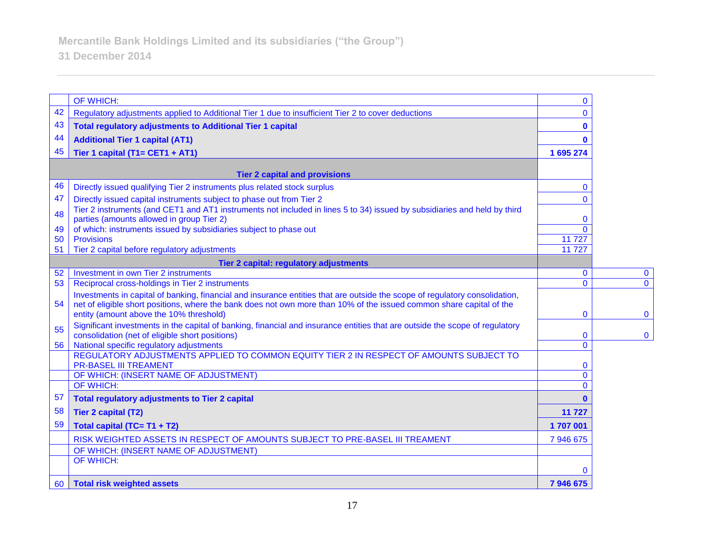|    | OF WHICH:                                                                                                                                                                       | $\mathbf 0$    |              |
|----|---------------------------------------------------------------------------------------------------------------------------------------------------------------------------------|----------------|--------------|
| 42 | Regulatory adjustments applied to Additional Tier 1 due to insufficient Tier 2 to cover deductions                                                                              | $\Omega$       |              |
| 43 | <b>Total regulatory adjustments to Additional Tier 1 capital</b>                                                                                                                | $\mathbf 0$    |              |
| 44 | <b>Additional Tier 1 capital (AT1)</b>                                                                                                                                          | $\bf{0}$       |              |
| 45 | Tier 1 capital (T1= CET1 + AT1)                                                                                                                                                 | 1 695 274      |              |
|    | <b>Tier 2 capital and provisions</b>                                                                                                                                            |                |              |
| 46 | Directly issued qualifying Tier 2 instruments plus related stock surplus                                                                                                        | $\Omega$       |              |
| 47 | Directly issued capital instruments subject to phase out from Tier 2                                                                                                            | $\Omega$       |              |
| 48 | Tier 2 instruments (and CET1 and AT1 instruments not included in lines 5 to 34) issued by subsidiaries and held by third<br>parties (amounts allowed in group Tier 2)           | $\mathbf 0$    |              |
| 49 | of which: instruments issued by subsidiaries subject to phase out                                                                                                               | $\Omega$       |              |
| 50 | <b>Provisions</b>                                                                                                                                                               | 11727          |              |
| 51 | Tier 2 capital before regulatory adjustments                                                                                                                                    | 11 727         |              |
|    | Tier 2 capital: regulatory adjustments                                                                                                                                          |                |              |
| 52 | <b>Investment in own Tier 2 instruments</b>                                                                                                                                     | $\mathbf 0$    | $\bf{0}$     |
| 53 | Reciprocal cross-holdings in Tier 2 instruments                                                                                                                                 | $\overline{0}$ | $\mathbf{0}$ |
|    | Investments in capital of banking, financial and insurance entities that are outside the scope of regulatory consolidation,                                                     |                |              |
| 54 | net of eligible short positions, where the bank does not own more than 10% of the issued common share capital of the<br>entity (amount above the 10% threshold)                 | $\mathbf 0$    | $\mathbf 0$  |
|    |                                                                                                                                                                                 |                |              |
| 55 | Significant investments in the capital of banking, financial and insurance entities that are outside the scope of regulatory<br>consolidation (net of eligible short positions) | $\mathbf 0$    | $\mathbf{0}$ |
| 56 | National specific regulatory adjustments                                                                                                                                        | $\overline{0}$ |              |
|    | REGULATORY ADJUSTMENTS APPLIED TO COMMON EQUITY TIER 2 IN RESPECT OF AMOUNTS SUBJECT TO                                                                                         |                |              |
|    | <b>PR-BASEL III TREAMENT</b>                                                                                                                                                    | $\mathbf 0$    |              |
|    | OF WHICH: (INSERT NAME OF ADJUSTMENT)                                                                                                                                           | $\overline{0}$ |              |
|    | <b>OF WHICH:</b>                                                                                                                                                                | $\Omega$       |              |
| 57 | <b>Total regulatory adjustments to Tier 2 capital</b>                                                                                                                           | $\mathbf{0}$   |              |
| 58 | Tier 2 capital (T2)                                                                                                                                                             | 11 727         |              |
| 59 | Total capital (TC= T1 + T2)                                                                                                                                                     | 1707001        |              |
|    | RISK WEIGHTED ASSETS IN RESPECT OF AMOUNTS SUBJECT TO PRE-BASEL III TREAMENT                                                                                                    | 7 946 675      |              |
|    | OF WHICH: (INSERT NAME OF ADJUSTMENT)                                                                                                                                           |                |              |
|    | OF WHICH:                                                                                                                                                                       | $\mathbf{0}$   |              |
| 60 | Total risk weighted assets                                                                                                                                                      | 7946675        |              |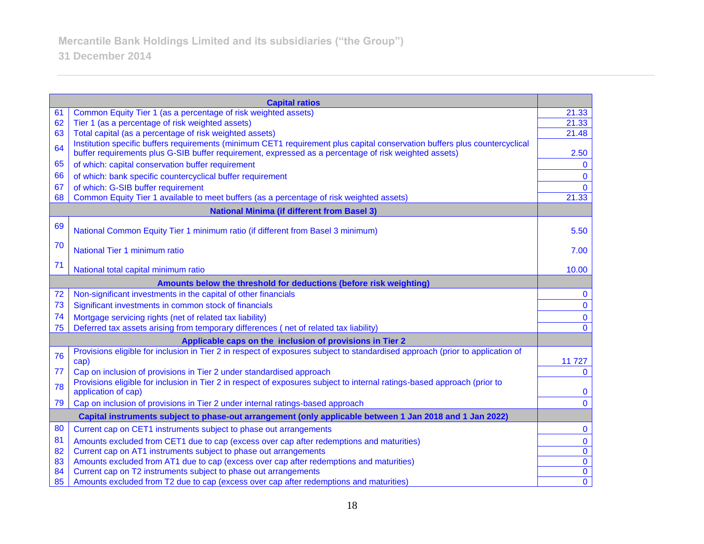|                                                          | <b>Capital ratios</b>                                                                                                                           |                |
|----------------------------------------------------------|-------------------------------------------------------------------------------------------------------------------------------------------------|----------------|
| 61                                                       | Common Equity Tier 1 (as a percentage of risk weighted assets)                                                                                  | 21.33          |
| 62                                                       | Tier 1 (as a percentage of risk weighted assets)                                                                                                | 21.33          |
| 63                                                       | Total capital (as a percentage of risk weighted assets)                                                                                         | 21.48          |
| 64                                                       | Institution specific buffers requirements (minimum CET1 requirement plus capital conservation buffers plus countercyclical                      |                |
|                                                          | buffer requirements plus G-SIB buffer requirement, expressed as a percentage of risk weighted assets)                                           | 2.50           |
| 65                                                       | of which: capital conservation buffer requirement                                                                                               | $\mathbf{0}$   |
| 66                                                       | of which: bank specific countercyclical buffer requirement                                                                                      | $\mathbf{0}$   |
| 67                                                       | of which: G-SIB buffer requirement                                                                                                              | $\Omega$       |
| 68                                                       | Common Equity Tier 1 available to meet buffers (as a percentage of risk weighted assets)                                                        | 21.33          |
| <b>National Minima (if different from Basel 3)</b>       |                                                                                                                                                 |                |
| 69                                                       | National Common Equity Tier 1 minimum ratio (if different from Basel 3 minimum)                                                                 | 5.50           |
| 70                                                       | National Tier 1 minimum ratio                                                                                                                   | 7.00           |
| 71                                                       | National total capital minimum ratio                                                                                                            | 10.00          |
|                                                          | Amounts below the threshold for deductions (before risk weighting)                                                                              |                |
| 72                                                       | Non-significant investments in the capital of other financials                                                                                  | 0              |
| 73                                                       | Significant investments in common stock of financials                                                                                           | $\mathbf{0}$   |
| 74                                                       | Mortgage servicing rights (net of related tax liability)                                                                                        | $\mathbf 0$    |
| 75                                                       | Deferred tax assets arising from temporary differences (net of related tax liability)                                                           | $\Omega$       |
| Applicable caps on the inclusion of provisions in Tier 2 |                                                                                                                                                 |                |
| 76                                                       | Provisions eligible for inclusion in Tier 2 in respect of exposures subject to standardised approach (prior to application of                   |                |
|                                                          | cap)                                                                                                                                            | 11727          |
| 77                                                       | Cap on inclusion of provisions in Tier 2 under standardised approach                                                                            | $\mathbf{0}$   |
| 78                                                       | Provisions eligible for inclusion in Tier 2 in respect of exposures subject to internal ratings-based approach (prior to<br>application of cap) | $\mathbf 0$    |
| 79                                                       | Cap on inclusion of provisions in Tier 2 under internal ratings-based approach                                                                  | $\overline{0}$ |
|                                                          | Capital instruments subject to phase-out arrangement (only applicable between 1 Jan 2018 and 1 Jan 2022)                                        |                |
| 80                                                       | Current cap on CET1 instruments subject to phase out arrangements                                                                               | $\mathbf 0$    |
| 81                                                       | Amounts excluded from CET1 due to cap (excess over cap after redemptions and maturities)                                                        | $\mathbf 0$    |
| 82                                                       | Current cap on AT1 instruments subject to phase out arrangements                                                                                | $\mathbf{0}$   |
| 83                                                       | Amounts excluded from AT1 due to cap (excess over cap after redemptions and maturities)                                                         | $\mathbf 0$    |
| 84                                                       | Current cap on T2 instruments subject to phase out arrangements                                                                                 | $\mathbf 0$    |
| 85                                                       | Amounts excluded from T2 due to cap (excess over cap after redemptions and maturities)                                                          | $\overline{0}$ |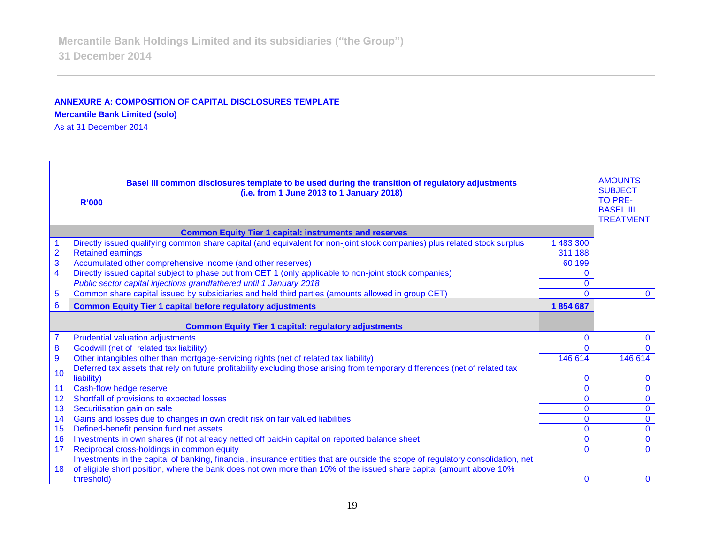# **ANNEXURE A: COMPOSITION OF CAPITAL DISCLOSURES TEMPLATE**

**Mercantile Bank Limited (solo)**

As at 31 December 2014

| Basel III common disclosures template to be used during the transition of regulatory adjustments<br>(i.e. from 1 June 2013 to 1 January 2018)<br><b>R'000</b> |                                                                                                                                                                                                                                                         |                | <b>AMOUNTS</b><br><b>SUBJECT</b><br><b>TO PRE-</b><br><b>BASEL III</b><br><b>TREATMENT</b> |
|---------------------------------------------------------------------------------------------------------------------------------------------------------------|---------------------------------------------------------------------------------------------------------------------------------------------------------------------------------------------------------------------------------------------------------|----------------|--------------------------------------------------------------------------------------------|
|                                                                                                                                                               | <b>Common Equity Tier 1 capital: instruments and reserves</b>                                                                                                                                                                                           |                |                                                                                            |
|                                                                                                                                                               | Directly issued qualifying common share capital (and equivalent for non-joint stock companies) plus related stock surplus                                                                                                                               | 483 300        |                                                                                            |
| $\overline{2}$                                                                                                                                                | <b>Retained earnings</b>                                                                                                                                                                                                                                | 311 188        |                                                                                            |
| 3                                                                                                                                                             | Accumulated other comprehensive income (and other reserves)                                                                                                                                                                                             | 60 199         |                                                                                            |
| $\overline{\mathbf{4}}$                                                                                                                                       | Directly issued capital subject to phase out from CET 1 (only applicable to non-joint stock companies)                                                                                                                                                  | 0              |                                                                                            |
|                                                                                                                                                               | Public sector capital injections grandfathered until 1 January 2018                                                                                                                                                                                     | $\mathbf{0}$   |                                                                                            |
| 5                                                                                                                                                             | Common share capital issued by subsidiaries and held third parties (amounts allowed in group CET)                                                                                                                                                       | $\mathbf{0}$   | $\mathbf{0}$                                                                               |
| 6                                                                                                                                                             | <b>Common Equity Tier 1 capital before regulatory adjustments</b>                                                                                                                                                                                       | 1854687        |                                                                                            |
| <b>Common Equity Tier 1 capital: regulatory adjustments</b>                                                                                                   |                                                                                                                                                                                                                                                         |                |                                                                                            |
| $\overline{7}$                                                                                                                                                | <b>Prudential valuation adjustments</b>                                                                                                                                                                                                                 | $\mathbf{0}$   | $\mathbf{0}$                                                                               |
| 8                                                                                                                                                             | Goodwill (net of related tax liability)                                                                                                                                                                                                                 | $\Omega$       | $\Omega$                                                                                   |
| 9                                                                                                                                                             | Other intangibles other than mortgage-servicing rights (net of related tax liability)                                                                                                                                                                   | 146 614        | 146 614                                                                                    |
| 10                                                                                                                                                            | Deferred tax assets that rely on future profitability excluding those arising from temporary differences (net of related tax                                                                                                                            |                |                                                                                            |
|                                                                                                                                                               | liability)                                                                                                                                                                                                                                              | $\mathbf 0$    | $\bf{0}$                                                                                   |
| 11                                                                                                                                                            | Cash-flow hedge reserve                                                                                                                                                                                                                                 | $\overline{0}$ | $\mathbf 0$                                                                                |
| 12                                                                                                                                                            | Shortfall of provisions to expected losses                                                                                                                                                                                                              | $\mathbf{0}$   | $\mathbf{0}$                                                                               |
| 13                                                                                                                                                            | Securitisation gain on sale                                                                                                                                                                                                                             | $\mathbf{0}$   | $\mathbf 0$                                                                                |
| 14                                                                                                                                                            | Gains and losses due to changes in own credit risk on fair valued liabilities                                                                                                                                                                           | $\mathbf{0}$   | $\overline{0}$                                                                             |
| 15                                                                                                                                                            | Defined-benefit pension fund net assets                                                                                                                                                                                                                 | $\mathbf{0}$   | $\mathbf 0$                                                                                |
| 16                                                                                                                                                            | Investments in own shares (if not already netted off paid-in capital on reported balance sheet                                                                                                                                                          | $\mathbf 0$    | $\mathbf 0$                                                                                |
| 17                                                                                                                                                            | Reciprocal cross-holdings in common equity                                                                                                                                                                                                              | $\overline{0}$ | $\mathbf{0}$                                                                               |
| 18                                                                                                                                                            | Investments in the capital of banking, financial, insurance entities that are outside the scope of regulatory consolidation, net<br>of eligible short position, where the bank does not own more than 10% of the issued share capital (amount above 10% |                |                                                                                            |
|                                                                                                                                                               | threshold)                                                                                                                                                                                                                                              | $\Omega$       | $\mathbf{0}$                                                                               |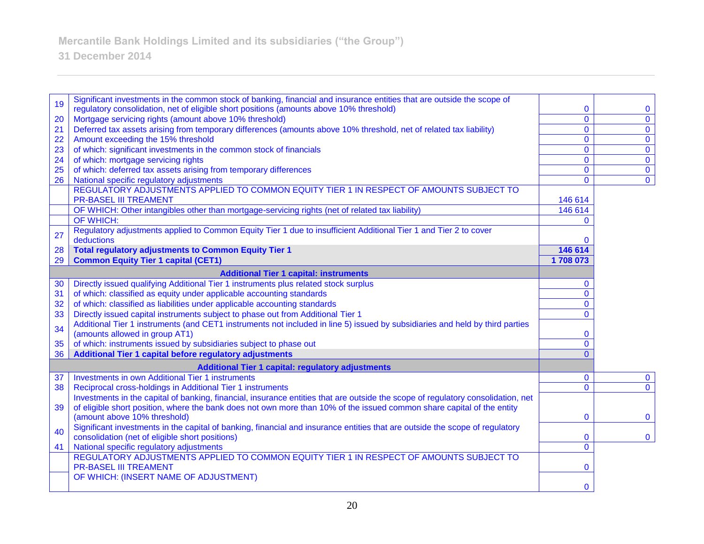**31 December 2014**

| 19                                            | Significant investments in the common stock of banking, financial and insurance entities that are outside the scope of           |                    |                |
|-----------------------------------------------|----------------------------------------------------------------------------------------------------------------------------------|--------------------|----------------|
|                                               | regulatory consolidation, net of eligible short positions (amounts above 10% threshold)                                          | $\mathbf{0}$       | $\mathbf 0$    |
| 20                                            | Mortgage servicing rights (amount above 10% threshold)                                                                           | $\overline{0}$     | $\mathbf 0$    |
| 21                                            | Deferred tax assets arising from temporary differences (amounts above 10% threshold, net of related tax liability)               | $\mathbf{0}$       | $\overline{0}$ |
| 22                                            | Amount exceeding the 15% threshold                                                                                               | $\mathbf{0}$       | $\mathbf{0}$   |
| 23                                            | of which: significant investments in the common stock of financials                                                              | $\mathbf{0}$       | $\overline{0}$ |
| 24                                            | of which: mortgage servicing rights                                                                                              | $\mathbf 0$        | $\overline{0}$ |
| 25                                            | of which: deferred tax assets arising from temporary differences                                                                 | 0                  | $\mathbf 0$    |
| 26                                            | National specific regulatory adjustments                                                                                         | $\mathbf{0}$       | $\mathbf 0$    |
|                                               | REGULATORY ADJUSTMENTS APPLIED TO COMMON EQUITY TIER 1 IN RESPECT OF AMOUNTS SUBJECT TO<br><b>PR-BASEL III TREAMENT</b>          |                    |                |
|                                               |                                                                                                                                  | 146 614<br>146 614 |                |
|                                               | OF WHICH: Other intangibles other than mortgage-servicing rights (net of related tax liability)                                  | $\Omega$           |                |
|                                               | OF WHICH:                                                                                                                        |                    |                |
| 27                                            | Regulatory adjustments applied to Common Equity Tier 1 due to insufficient Additional Tier 1 and Tier 2 to cover<br>deductions   | 0                  |                |
| 28                                            | <b>Total regulatory adjustments to Common Equity Tier 1</b>                                                                      | 146 614            |                |
| 29                                            | <b>Common Equity Tier 1 capital (CET1)</b>                                                                                       | 1708073            |                |
| <b>Additional Tier 1 capital: instruments</b> |                                                                                                                                  |                    |                |
| 30                                            | Directly issued qualifying Additional Tier 1 instruments plus related stock surplus                                              | 0                  |                |
| 31                                            | of which: classified as equity under applicable accounting standards                                                             | $\mathbf{0}$       |                |
| 32                                            | of which: classified as liabilities under applicable accounting standards                                                        | $\mathbf{0}$       |                |
| 33                                            | Directly issued capital instruments subject to phase out from Additional Tier 1                                                  | $\mathbf{0}$       |                |
|                                               | Additional Tier 1 instruments (and CET1 instruments not included in line 5) issued by subsidiaries and held by third parties     |                    |                |
| 34                                            | (amounts allowed in group AT1)                                                                                                   | 0                  |                |
| 35                                            | of which: instruments issued by subsidiaries subject to phase out                                                                | $\overline{0}$     |                |
| 36                                            | Additional Tier 1 capital before regulatory adjustments                                                                          | $\Omega$           |                |
|                                               | <b>Additional Tier 1 capital: regulatory adjustments</b>                                                                         |                    |                |
| 37                                            | Investments in own Additional Tier 1 instruments                                                                                 | $\mathbf{0}$       | $\mathbf{0}$   |
| 38                                            | Reciprocal cross-holdings in Additional Tier 1 instruments                                                                       | $\Omega$           | $\mathbf{0}$   |
|                                               | Investments in the capital of banking, financial, insurance entities that are outside the scope of regulatory consolidation, net |                    |                |
| 39                                            | of eligible short position, where the bank does not own more than 10% of the issued common share capital of the entity           |                    |                |
|                                               | (amount above 10% threshold)                                                                                                     | 0                  | $\mathbf{0}$   |
| 40                                            | Significant investments in the capital of banking, financial and insurance entities that are outside the scope of regulatory     |                    |                |
|                                               | consolidation (net of eligible short positions)                                                                                  | 0                  | $\mathbf{0}$   |
| 41                                            | National specific regulatory adjustments                                                                                         | 0                  |                |
|                                               | REGULATORY ADJUSTMENTS APPLIED TO COMMON EQUITY TIER 1 IN RESPECT OF AMOUNTS SUBJECT TO                                          |                    |                |
|                                               | <b>PR-BASEL III TREAMENT</b>                                                                                                     | 0                  |                |
|                                               | OF WHICH: (INSERT NAME OF ADJUSTMENT)                                                                                            |                    |                |
|                                               |                                                                                                                                  | $\mathbf{0}$       |                |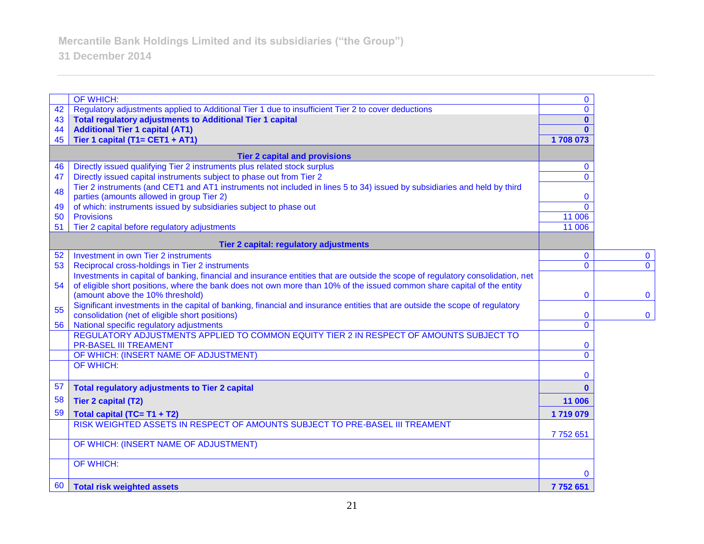**31 December 2014**

|                                      | OF WHICH:                                                                                                                                                             | $\bf{0}$     |              |
|--------------------------------------|-----------------------------------------------------------------------------------------------------------------------------------------------------------------------|--------------|--------------|
| 42                                   | Regulatory adjustments applied to Additional Tier 1 due to insufficient Tier 2 to cover deductions                                                                    | $\mathbf{0}$ |              |
| 43                                   | <b>Total regulatory adjustments to Additional Tier 1 capital</b>                                                                                                      | $\mathbf{0}$ |              |
| 44                                   | <b>Additional Tier 1 capital (AT1)</b>                                                                                                                                | $\mathbf{0}$ |              |
| 45                                   | Tier 1 capital (T1= CET1 + AT1)                                                                                                                                       | 1708 073     |              |
| <b>Tier 2 capital and provisions</b> |                                                                                                                                                                       |              |              |
| 46                                   | Directly issued qualifying Tier 2 instruments plus related stock surplus                                                                                              | $\mathbf{0}$ |              |
| 47                                   | Directly issued capital instruments subject to phase out from Tier 2                                                                                                  | $\Omega$     |              |
| 48                                   | Tier 2 instruments (and CET1 and AT1 instruments not included in lines 5 to 34) issued by subsidiaries and held by third<br>parties (amounts allowed in group Tier 2) | $\bf{0}$     |              |
| 49                                   | of which: instruments issued by subsidiaries subject to phase out                                                                                                     | $\Omega$     |              |
| 50                                   | <b>Provisions</b>                                                                                                                                                     | 11 006       |              |
| 51                                   | Tier 2 capital before regulatory adjustments                                                                                                                          | 11 006       |              |
|                                      | Tier 2 capital: regulatory adjustments                                                                                                                                |              |              |
| 52                                   | Investment in own Tier 2 instruments                                                                                                                                  | $\mathbf{0}$ | $\bf{0}$     |
| 53                                   | Reciprocal cross-holdings in Tier 2 instruments                                                                                                                       | $\mathbf{0}$ | $\mathbf{0}$ |
|                                      | Investments in capital of banking, financial and insurance entities that are outside the scope of regulatory consolidation, net                                       |              |              |
| 54                                   | of eligible short positions, where the bank does not own more than 10% of the issued common share capital of the entity                                               |              |              |
|                                      | (amount above the 10% threshold)                                                                                                                                      | $\mathbf 0$  | $\mathbf{0}$ |
| 55                                   | Significant investments in the capital of banking, financial and insurance entities that are outside the scope of regulatory                                          |              |              |
|                                      | consolidation (net of eligible short positions)                                                                                                                       | $\bf{0}$     | $\mathbf 0$  |
| 56                                   | National specific regulatory adjustments                                                                                                                              | $\mathbf{0}$ |              |
|                                      | REGULATORY ADJUSTMENTS APPLIED TO COMMON EQUITY TIER 2 IN RESPECT OF AMOUNTS SUBJECT TO<br><b>PR-BASEL III TREAMENT</b>                                               | $\bf{0}$     |              |
|                                      | OF WHICH: (INSERT NAME OF ADJUSTMENT)                                                                                                                                 | $\Omega$     |              |
|                                      | OF WHICH:                                                                                                                                                             |              |              |
|                                      |                                                                                                                                                                       | $\mathbf{0}$ |              |
| 57                                   | <b>Total regulatory adjustments to Tier 2 capital</b>                                                                                                                 | $\mathbf{0}$ |              |
| 58                                   | <b>Tier 2 capital (T2)</b>                                                                                                                                            | 11 006       |              |
| 59                                   | Total capital (TC= T1 + T2)                                                                                                                                           | 1719079      |              |
|                                      | RISK WEIGHTED ASSETS IN RESPECT OF AMOUNTS SUBJECT TO PRE-BASEL III TREAMENT                                                                                          |              |              |
|                                      |                                                                                                                                                                       | 7752651      |              |
|                                      | OF WHICH: (INSERT NAME OF ADJUSTMENT)                                                                                                                                 |              |              |
|                                      | <b>OF WHICH:</b>                                                                                                                                                      |              |              |
|                                      |                                                                                                                                                                       | $\mathbf{0}$ |              |
| 60                                   | <b>Total risk weighted assets</b>                                                                                                                                     | 7752651      |              |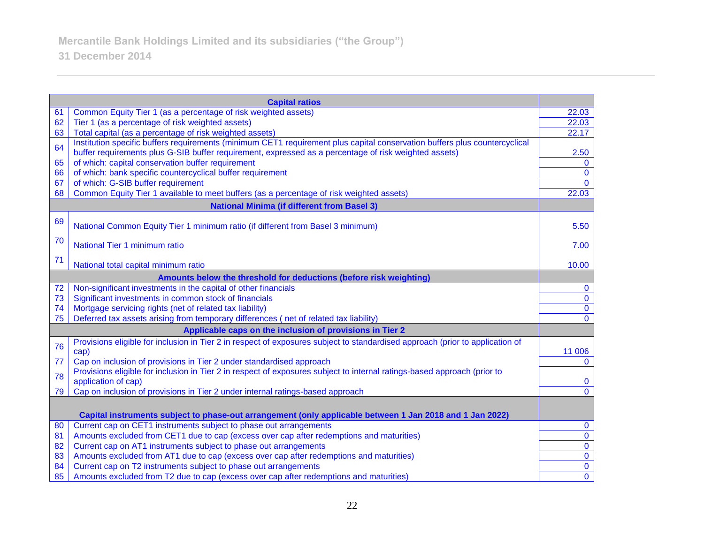|                                                    | <b>Capital ratios</b>                                                                                                         |                |
|----------------------------------------------------|-------------------------------------------------------------------------------------------------------------------------------|----------------|
| 61                                                 | Common Equity Tier 1 (as a percentage of risk weighted assets)                                                                | 22.03          |
| 62                                                 | Tier 1 (as a percentage of risk weighted assets)                                                                              | 22.03          |
| 63                                                 | Total capital (as a percentage of risk weighted assets)                                                                       | 22.17          |
| 64                                                 | Institution specific buffers requirements (minimum CET1 requirement plus capital conservation buffers plus countercyclical    |                |
|                                                    | buffer requirements plus G-SIB buffer requirement, expressed as a percentage of risk weighted assets)                         | 2.50           |
| 65                                                 | of which: capital conservation buffer requirement                                                                             | $\mathbf 0$    |
| 66                                                 | of which: bank specific countercyclical buffer requirement                                                                    | $\mathbf 0$    |
| 67                                                 | of which: G-SIB buffer requirement                                                                                            | $\mathbf{0}$   |
| 68                                                 | Common Equity Tier 1 available to meet buffers (as a percentage of risk weighted assets)                                      | 22.03          |
| <b>National Minima (if different from Basel 3)</b> |                                                                                                                               |                |
| 69                                                 | National Common Equity Tier 1 minimum ratio (if different from Basel 3 minimum)                                               | 5.50           |
|                                                    |                                                                                                                               |                |
| 70                                                 | National Tier 1 minimum ratio                                                                                                 | 7.00           |
| 71                                                 | National total capital minimum ratio                                                                                          | 10.00          |
|                                                    |                                                                                                                               |                |
|                                                    | Amounts below the threshold for deductions (before risk weighting)                                                            |                |
| 72                                                 | Non-significant investments in the capital of other financials                                                                | $\mathbf 0$    |
| 73                                                 | Significant investments in common stock of financials                                                                         | $\mathbf 0$    |
| 74                                                 | Mortgage servicing rights (net of related tax liability)                                                                      | $\mathbf{0}$   |
| 75                                                 | Deferred tax assets arising from temporary differences (net of related tax liability)                                         | $\mathbf 0$    |
|                                                    | Applicable caps on the inclusion of provisions in Tier 2                                                                      |                |
| 76                                                 | Provisions eligible for inclusion in Tier 2 in respect of exposures subject to standardised approach (prior to application of |                |
|                                                    | cap)                                                                                                                          | 11 006         |
| 77                                                 | Cap on inclusion of provisions in Tier 2 under standardised approach                                                          | $\mathbf{0}$   |
| 78                                                 | Provisions eligible for inclusion in Tier 2 in respect of exposures subject to internal ratings-based approach (prior to      |                |
|                                                    | application of cap)                                                                                                           | $\mathbf{0}$   |
| 79                                                 | Cap on inclusion of provisions in Tier 2 under internal ratings-based approach                                                | $\mathbf{0}$   |
|                                                    |                                                                                                                               |                |
|                                                    | Capital instruments subject to phase-out arrangement (only applicable between 1 Jan 2018 and 1 Jan 2022)                      |                |
| 80                                                 | Current cap on CET1 instruments subject to phase out arrangements                                                             | $\mathbf 0$    |
| 81                                                 | Amounts excluded from CET1 due to cap (excess over cap after redemptions and maturities)                                      | $\overline{0}$ |
| 82                                                 | Current cap on AT1 instruments subject to phase out arrangements                                                              | $\mathbf 0$    |
| 83                                                 | Amounts excluded from AT1 due to cap (excess over cap after redemptions and maturities)                                       | $\mathbf 0$    |
| 84                                                 | Current cap on T2 instruments subject to phase out arrangements                                                               | $\overline{0}$ |
| 85                                                 | Amounts excluded from T2 due to cap (excess over cap after redemptions and maturities)                                        | $\overline{0}$ |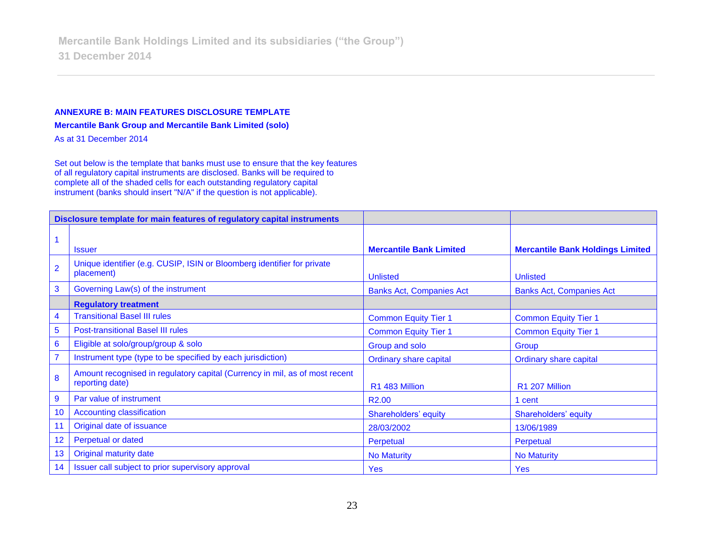#### **ANNEXURE B: MAIN FEATURES DISCLOSURE TEMPLATE**

**Mercantile Bank Group and Mercantile Bank Limited (solo)**

As at 31 December 2014

Set out below is the template that banks must use to ensure that the key features of all regulatory capital instruments are disclosed. Banks will be required to complete all of the shaded cells for each outstanding regulatory capital instrument (banks should insert "N/A" if the question is not applicable).

| Disclosure template for main features of regulatory capital instruments |                                                                                                |                                 |                                         |
|-------------------------------------------------------------------------|------------------------------------------------------------------------------------------------|---------------------------------|-----------------------------------------|
|                                                                         |                                                                                                |                                 |                                         |
| 1                                                                       | <b>Issuer</b>                                                                                  | <b>Mercantile Bank Limited</b>  | <b>Mercantile Bank Holdings Limited</b> |
| $\overline{2}$                                                          | Unique identifier (e.g. CUSIP, ISIN or Bloomberg identifier for private<br>placement)          | <b>Unlisted</b>                 | <b>Unlisted</b>                         |
| $\mathbf{3}$                                                            | Governing Law(s) of the instrument                                                             | <b>Banks Act, Companies Act</b> | <b>Banks Act, Companies Act</b>         |
|                                                                         | <b>Regulatory treatment</b>                                                                    |                                 |                                         |
| 4                                                                       | <b>Transitional Basel III rules</b>                                                            | <b>Common Equity Tier 1</b>     | <b>Common Equity Tier 1</b>             |
| 5                                                                       | <b>Post-transitional Basel III rules</b>                                                       | <b>Common Equity Tier 1</b>     | <b>Common Equity Tier 1</b>             |
| $6\phantom{1}6$                                                         | Eligible at solo/group/group & solo                                                            | Group and solo                  | Group                                   |
| $\overline{7}$                                                          | Instrument type (type to be specified by each jurisdiction)                                    | <b>Ordinary share capital</b>   | <b>Ordinary share capital</b>           |
| 8                                                                       | Amount recognised in regulatory capital (Currency in mil, as of most recent<br>reporting date) | R1 483 Million                  | R1 207 Million                          |
| 9                                                                       | Par value of instrument                                                                        | R <sub>2.00</sub>               | 1 cent                                  |
| 10                                                                      | <b>Accounting classification</b>                                                               | Shareholders' equity            | Shareholders' equity                    |
| 11                                                                      | Original date of issuance                                                                      | 28/03/2002                      | 13/06/1989                              |
| 12                                                                      | Perpetual or dated                                                                             | Perpetual                       | Perpetual                               |
| 13                                                                      | Original maturity date                                                                         | <b>No Maturity</b>              | <b>No Maturity</b>                      |
| 14                                                                      | Issuer call subject to prior supervisory approval                                              | <b>Yes</b>                      | <b>Yes</b>                              |